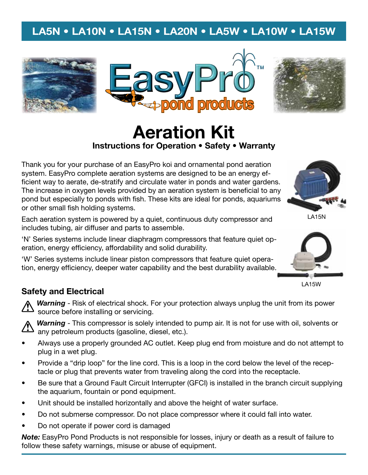# **LA5N • LA10N • LA15N • LA20N • LA5W • LA10W • LA15W**





# **Aeration Kit Instructions for Operation • Safety • Warranty**

Thank you for your purchase of an EasyPro koi and ornamental pond aeration system. EasyPro complete aeration systems are designed to be an energy efficient way to aerate, de-stratify and circulate water in ponds and water gardens. The increase in oxygen levels provided by an aeration system is beneficial to any pond but especially to ponds with fish. These kits are ideal for ponds, aquariums or other small fish holding systems.

Each aeration system is powered by a quiet, continuous duty compressor and includes tubing, air diffuser and parts to assemble.

'N' Series systems include linear diaphragm compressors that feature quiet operation, energy efficiency, affordability and solid durability.

'W' Series systems include linear piston compressors that feature quiet operation, energy efficiency, deeper water capability and the best durability available.



LA15N



LA15W

## **Safety and Electrical**

**Warning** - Risk of electrical shock. For your protection always unplug the unit from its power source before installing or servicing.



*Warning* - This compressor is solely intended to pump air. It is not for use with oil, solvents or any petroleum products (gasoline, diesel, etc.).

- • Always use a properly grounded AC outlet. Keep plug end from moisture and do not attempt to plug in a wet plug.
- • Provide a "drip loop" for the line cord. This is a loop in the cord below the level of the receptacle or plug that prevents water from traveling along the cord into the receptacle.
- • Be sure that a Ground Fault Circuit Interrupter (GFCI) is installed in the branch circuit supplying the aquarium, fountain or pond equipment.
- •Unit should be installed horizontally and above the height of water surface.
- •Do not submerse compressor. Do not place compressor where it could fall into water.
- •Do not operate if power cord is damaged

*Note:* EasyPro Pond Products is not responsible for losses, injury or death as a result of failure to follow these safety warnings, misuse or abuse of equipment.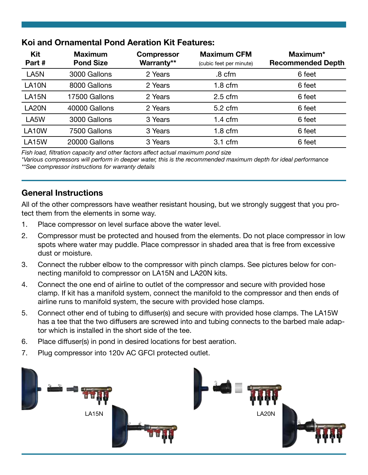| Kit<br>Part#     | <b>Maximum</b><br><b>Pond Size</b> | <b>Compressor</b><br>Warranty** | <b>Maximum CFM</b><br>(cubic feet per minute) | Maximum*<br><b>Recommended Depth</b> |  |  |
|------------------|------------------------------------|---------------------------------|-----------------------------------------------|--------------------------------------|--|--|
| LA <sub>5N</sub> | 3000 Gallons                       | 2 Years                         | .8 cfm                                        | 6 feet                               |  |  |
| <b>LA10N</b>     | 8000 Gallons                       | 2 Years                         | $1.8 \text{ cfm}$                             | 6 feet                               |  |  |
| <b>LA15N</b>     | 17500 Gallons                      | 2 Years                         | $2.5$ cfm                                     | 6 feet                               |  |  |
| <b>LA20N</b>     | 40000 Gallons                      | 2 Years                         | $5.2 \text{ cfm}$                             | 6 feet                               |  |  |
| LA5W             | 3000 Gallons                       | 3 Years                         | $1.4 \text{ cfm}$                             | 6 feet                               |  |  |
| LA10W            | 7500 Gallons                       | 3 Years                         | $1.8 \text{ cfm}$                             | 6 feet                               |  |  |
| <b>LA15W</b>     | 20000 Gallons                      | 3 Years                         | 3.1 cfm                                       | 6 feet                               |  |  |

# **Koi and Ornamental Pond Aeration Kit Features:**

*Fish load, filtration capacity and other factors affect actual maximum pond size*

*\*Various compressors will perform in deeper water, this is the recommended maximum depth for ideal performance \*\*See compressor instructions for warranty details*

# **General Instructions**

All of the other compressors have weather resistant housing, but we strongly suggest that you protect them from the elements in some way.

- 1. Place compressor on level surface above the water level.
- 2. Compressor must be protected and housed from the elements. Do not place compressor in low spots where water may puddle. Place compressor in shaded area that is free from excessive dust or moisture.
- 3. Connect the rubber elbow to the compressor with pinch clamps. See pictures below for connecting manifold to compressor on LA15N and LA20N kits.
- 4. Connect the one end of airline to outlet of the compressor and secure with provided hose clamp. If kit has a manifold system, connect the manifold to the compressor and then ends of airline runs to manifold system, the secure with provided hose clamps.
- 5. Connect other end of tubing to diffuser(s) and secure with provided hose clamps. The LA15W has a tee that the two diffusers are screwed into and tubing connects to the barbed male adaptor which is installed in the short side of the tee.
- 6. Place diffuser(s) in pond in desired locations for best aeration.
- 7. Plug compressor into 120v AC GFCI protected outlet.

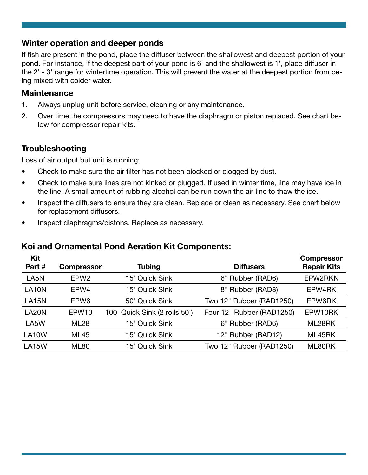#### **Winter operation and deeper ponds**

If fish are present in the pond, place the diffuser between the shallowest and deepest portion of your pond. For instance, if the deepest part of your pond is 6' and the shallowest is 1', place diffuser in the 2' - 3' range for wintertime operation. This will prevent the water at the deepest portion from being mixed with colder water.

#### **Maintenance**

- 1. Always unplug unit before service, cleaning or any maintenance.
- 2. Over time the compressors may need to have the diaphragm or piston replaced. See chart below for compressor repair kits.

### **Troubleshooting**

Loss of air output but unit is running:

- •Check to make sure the air filter has not been blocked or clogged by dust.
- • Check to make sure lines are not kinked or plugged. If used in winter time, line may have ice in the line. A small amount of rubbing alcohol can be run down the air line to thaw the ice.
- • Inspect the diffusers to ensure they are clean. Replace or clean as necessary. See chart below for replacement diffusers.
- •Inspect diaphragms/pistons. Replace as necessary.

## **Koi and Ornamental Pond Aeration Kit Components:**

| Kit<br>Part#       | <b>Compressor</b> | <b>Tubing</b>                 | <b>Diffusers</b>          | <b>Compressor</b><br><b>Repair Kits</b> |
|--------------------|-------------------|-------------------------------|---------------------------|-----------------------------------------|
| LA5N               | EPW <sub>2</sub>  | 15' Quick Sink                | 6" Rubber (RAD6)          | EPW2RKN                                 |
| LA <sub>10</sub> N | EPW4              | 15' Quick Sink                | 8" Rubber (RAD8)          | EPW4RK                                  |
| <b>LA15N</b>       | EPW <sub>6</sub>  | 50' Quick Sink                | Two 12" Rubber (RAD1250)  | EPW6RK                                  |
| LA <sub>20</sub> N | EPW <sub>10</sub> | 100' Quick Sink (2 rolls 50') | Four 12" Rubber (RAD1250) | EPW10RK                                 |
| LA5W               | <b>ML28</b>       | 15' Quick Sink                | 6" Rubber (RAD6)          | ML28RK                                  |
| LA10W              | <b>ML45</b>       | 15' Quick Sink                | 12" Rubber (RAD12)        | ML45RK                                  |
| <b>LA15W</b>       | <b>ML80</b>       | 15' Quick Sink                | Two 12" Rubber (RAD1250)  | ML80RK                                  |